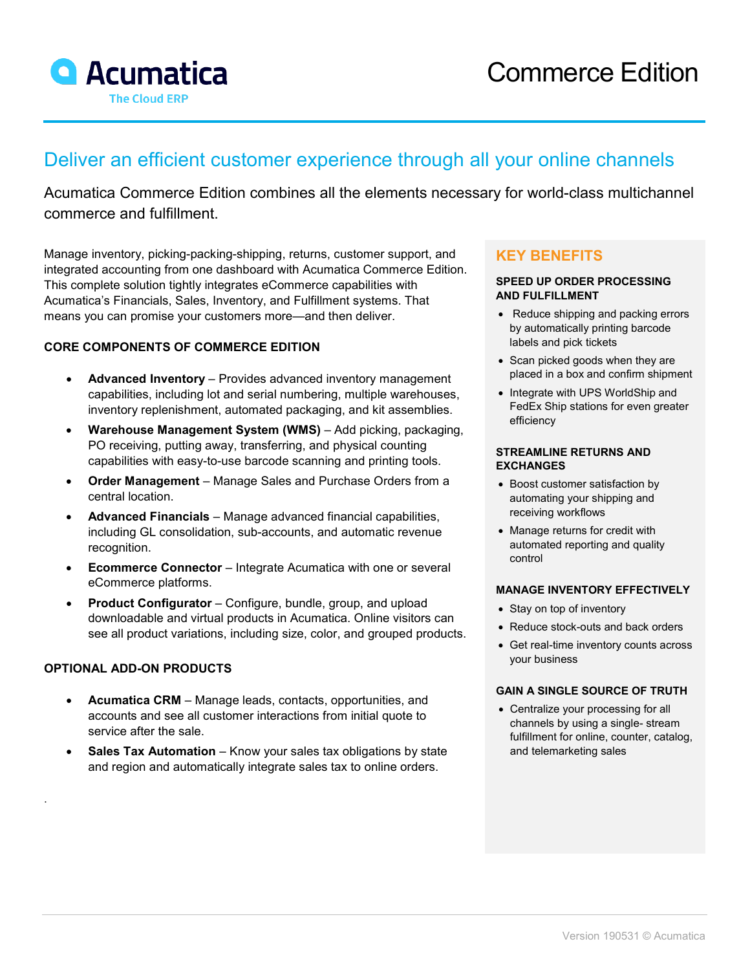

# Deliver an efficient customer experience through all your online channels

Acumatica Commerce Edition combines all the elements necessary for world-class multichannel commerce and fulfillment.

Manage inventory, picking-packing-shipping, returns, customer support, and integrated accounting from one dashboard with Acumatica Commerce Edition. This complete solution tightly integrates eCommerce capabilities with Acumatica's Financials, Sales, Inventory, and Fulfillment systems. That means you can promise your customers more—and then deliver.

### **CORE COMPONENTS OF COMMERCE EDITION**

- **Advanced Inventory**  Provides advanced inventory management capabilities, including lot and serial numbering, multiple warehouses, inventory replenishment, automated packaging, and kit assemblies.
- **Warehouse Management System (WMS)** Add picking, packaging, PO receiving, putting away, transferring, and physical counting capabilities with easy-to-use barcode scanning and printing tools.
- **Order Management**  Manage Sales and Purchase Orders from a central location.
- **Advanced Financials**  Manage advanced financial capabilities, including GL consolidation, sub-accounts, and automatic revenue recognition.
- **Ecommerce Connector** Integrate Acumatica with one or several eCommerce platforms.
- **Product Configurator**  Configure, bundle, group, and upload downloadable and virtual products in Acumatica. Online visitors can see all product variations, including size, color, and grouped products.

#### **OPTIONAL ADD-ON PRODUCTS**

.

- **Acumatica CRM**  Manage leads, contacts, opportunities, and accounts and see all customer interactions from initial quote to service after the sale.
- **Sales Tax Automation** Know your sales tax obligations by state and region and automatically integrate sales tax to online orders.

# **KEY BENEFITS**

#### **SPEED UP ORDER PROCESSING AND FULFILLMENT**

- Reduce shipping and packing errors by automatically printing barcode labels and pick tickets
- Scan picked goods when they are placed in a box and confirm shipment
- Integrate with UPS WorldShip and FedEx Ship stations for even greater efficiency

#### **STREAMLINE RETURNS AND EXCHANGES**

- Boost customer satisfaction by automating your shipping and receiving workflows
- Manage returns for credit with automated reporting and quality control

#### **MANAGE INVENTORY EFFECTIVELY**

- Stay on top of inventory
- Reduce stock-outs and back orders
- Get real-time inventory counts across your business

#### **GAIN A SINGLE SOURCE OF TRUTH**

• Centralize your processing for all channels by using a single- stream fulfillment for online, counter, catalog, and telemarketing sales